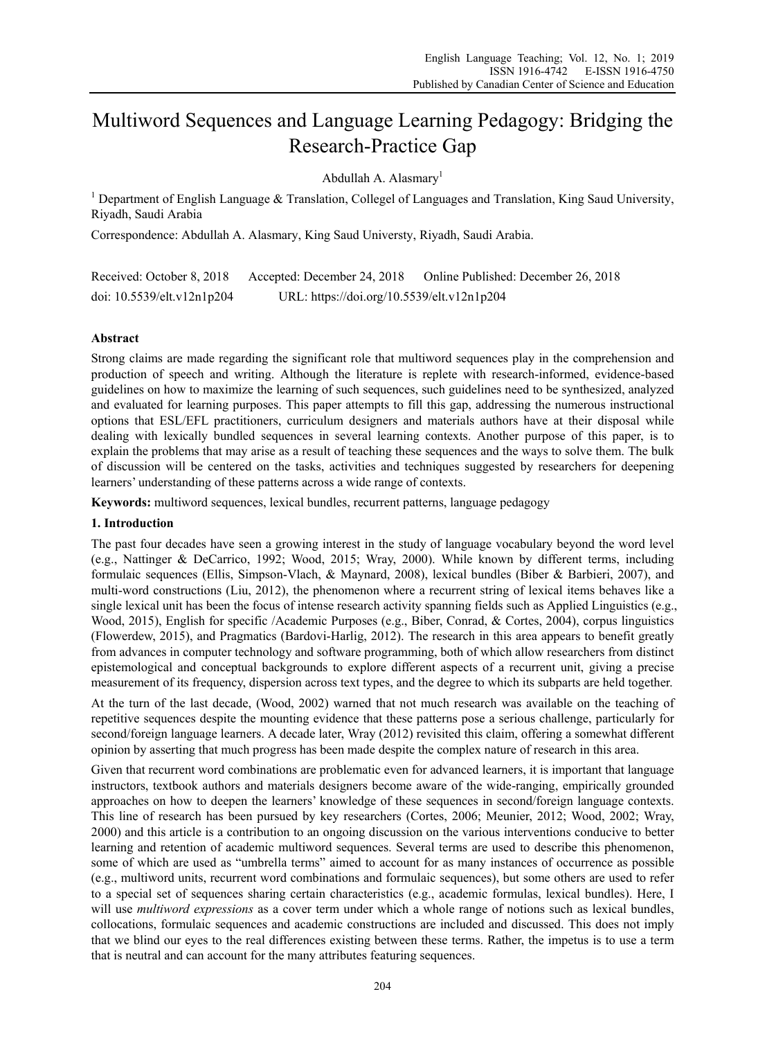# Multiword Sequences and Language Learning Pedagogy: Bridging the Research-Practice Gap

Abdullah A. Alasmary<sup>1</sup>

<sup>1</sup> Department of English Language & Translation, Collegel of Languages and Translation, King Saud University, Riyadh, Saudi Arabia

Correspondence: Abdullah A. Alasmary, King Saud Universty, Riyadh, Saudi Arabia.

Received: October 8, 2018 Accepted: December 24, 2018 Online Published: December 26, 2018 doi: 10.5539/elt.v12n1p204 URL: https://doi.org/10.5539/elt.v12n1p204

# **Abstract**

Strong claims are made regarding the significant role that multiword sequences play in the comprehension and production of speech and writing. Although the literature is replete with research-informed, evidence-based guidelines on how to maximize the learning of such sequences, such guidelines need to be synthesized, analyzed and evaluated for learning purposes. This paper attempts to fill this gap, addressing the numerous instructional options that ESL/EFL practitioners, curriculum designers and materials authors have at their disposal while dealing with lexically bundled sequences in several learning contexts. Another purpose of this paper, is to explain the problems that may arise as a result of teaching these sequences and the ways to solve them. The bulk of discussion will be centered on the tasks, activities and techniques suggested by researchers for deepening learners' understanding of these patterns across a wide range of contexts.

**Keywords:** multiword sequences, lexical bundles, recurrent patterns, language pedagogy

# **1. Introduction**

The past four decades have seen a growing interest in the study of language vocabulary beyond the word level (e.g., Nattinger & DeCarrico, 1992; Wood, 2015; Wray, 2000). While known by different terms, including formulaic sequences (Ellis, Simpson-Vlach, & Maynard, 2008), lexical bundles (Biber & Barbieri, 2007), and multi-word constructions (Liu, 2012), the phenomenon where a recurrent string of lexical items behaves like a single lexical unit has been the focus of intense research activity spanning fields such as Applied Linguistics (e.g., Wood, 2015), English for specific /Academic Purposes (e.g., Biber, Conrad, & Cortes, 2004), corpus linguistics (Flowerdew, 2015), and Pragmatics (Bardovi-Harlig, 2012). The research in this area appears to benefit greatly from advances in computer technology and software programming, both of which allow researchers from distinct epistemological and conceptual backgrounds to explore different aspects of a recurrent unit, giving a precise measurement of its frequency, dispersion across text types, and the degree to which its subparts are held together.

At the turn of the last decade, (Wood, 2002) warned that not much research was available on the teaching of repetitive sequences despite the mounting evidence that these patterns pose a serious challenge, particularly for second/foreign language learners. A decade later, Wray (2012) revisited this claim, offering a somewhat different opinion by asserting that much progress has been made despite the complex nature of research in this area.

Given that recurrent word combinations are problematic even for advanced learners, it is important that language instructors, textbook authors and materials designers become aware of the wide-ranging, empirically grounded approaches on how to deepen the learners' knowledge of these sequences in second/foreign language contexts. This line of research has been pursued by key researchers (Cortes, 2006; Meunier, 2012; Wood, 2002; Wray, 2000) and this article is a contribution to an ongoing discussion on the various interventions conducive to better learning and retention of academic multiword sequences. Several terms are used to describe this phenomenon, some of which are used as "umbrella terms" aimed to account for as many instances of occurrence as possible (e.g., multiword units, recurrent word combinations and formulaic sequences), but some others are used to refer to a special set of sequences sharing certain characteristics (e.g., academic formulas, lexical bundles). Here, I will use *multiword expressions* as a cover term under which a whole range of notions such as lexical bundles, collocations, formulaic sequences and academic constructions are included and discussed. This does not imply that we blind our eyes to the real differences existing between these terms. Rather, the impetus is to use a term that is neutral and can account for the many attributes featuring sequences.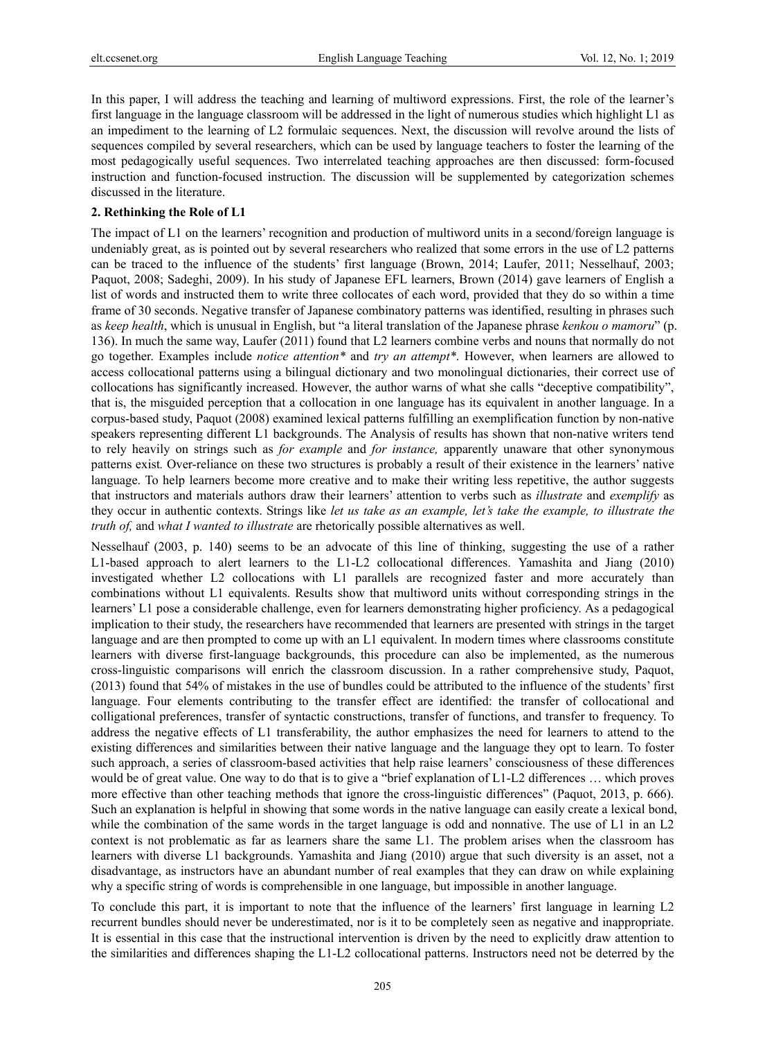In this paper, I will address the teaching and learning of multiword expressions. First, the role of the learner's first language in the language classroom will be addressed in the light of numerous studies which highlight L1 as an impediment to the learning of L2 formulaic sequences. Next, the discussion will revolve around the lists of sequences compiled by several researchers, which can be used by language teachers to foster the learning of the most pedagogically useful sequences. Two interrelated teaching approaches are then discussed: form-focused instruction and function-focused instruction. The discussion will be supplemented by categorization schemes discussed in the literature.

#### **2. Rethinking the Role of L1**

The impact of L1 on the learners' recognition and production of multiword units in a second/foreign language is undeniably great, as is pointed out by several researchers who realized that some errors in the use of L2 patterns can be traced to the influence of the students' first language (Brown, 2014; Laufer, 2011; Nesselhauf, 2003; Paquot, 2008; Sadeghi, 2009). In his study of Japanese EFL learners, Brown (2014) gave learners of English a list of words and instructed them to write three collocates of each word, provided that they do so within a time frame of 30 seconds. Negative transfer of Japanese combinatory patterns was identified, resulting in phrases such as *keep health*, which is unusual in English, but "a literal translation of the Japanese phrase *kenkou o mamoru*" (p. 136). In much the same way, Laufer (2011) found that L2 learners combine verbs and nouns that normally do not go together. Examples include *notice attention\** and *try an attempt\**. However, when learners are allowed to access collocational patterns using a bilingual dictionary and two monolingual dictionaries, their correct use of collocations has significantly increased. However, the author warns of what she calls "deceptive compatibility", that is, the misguided perception that a collocation in one language has its equivalent in another language. In a corpus-based study, Paquot (2008) examined lexical patterns fulfilling an exemplification function by non-native speakers representing different L1 backgrounds. The Analysis of results has shown that non-native writers tend to rely heavily on strings such as *for example* and *for instance,* apparently unaware that other synonymous patterns exist*.* Over-reliance on these two structures is probably a result of their existence in the learners' native language. To help learners become more creative and to make their writing less repetitive, the author suggests that instructors and materials authors draw their learners' attention to verbs such as *illustrate* and *exemplify* as they occur in authentic contexts. Strings like *let us take as an example, let's take the example, to illustrate the truth of,* and *what I wanted to illustrate* are rhetorically possible alternatives as well.

Nesselhauf (2003, p. 140) seems to be an advocate of this line of thinking, suggesting the use of a rather L1-based approach to alert learners to the L1-L2 collocational differences. Yamashita and Jiang (2010) investigated whether L2 collocations with L1 parallels are recognized faster and more accurately than combinations without L1 equivalents. Results show that multiword units without corresponding strings in the learners' L1 pose a considerable challenge, even for learners demonstrating higher proficiency. As a pedagogical implication to their study, the researchers have recommended that learners are presented with strings in the target language and are then prompted to come up with an L1 equivalent. In modern times where classrooms constitute learners with diverse first-language backgrounds, this procedure can also be implemented, as the numerous cross-linguistic comparisons will enrich the classroom discussion. In a rather comprehensive study, Paquot, (2013) found that 54% of mistakes in the use of bundles could be attributed to the influence of the students' first language. Four elements contributing to the transfer effect are identified: the transfer of collocational and colligational preferences, transfer of syntactic constructions, transfer of functions, and transfer to frequency. To address the negative effects of L1 transferability, the author emphasizes the need for learners to attend to the existing differences and similarities between their native language and the language they opt to learn. To foster such approach, a series of classroom-based activities that help raise learners' consciousness of these differences would be of great value. One way to do that is to give a "brief explanation of L1-L2 differences … which proves more effective than other teaching methods that ignore the cross-linguistic differences" (Paquot, 2013, p. 666). Such an explanation is helpful in showing that some words in the native language can easily create a lexical bond, while the combination of the same words in the target language is odd and nonnative. The use of L1 in an L2 context is not problematic as far as learners share the same L1. The problem arises when the classroom has learners with diverse L1 backgrounds. Yamashita and Jiang (2010) argue that such diversity is an asset, not a disadvantage, as instructors have an abundant number of real examples that they can draw on while explaining why a specific string of words is comprehensible in one language, but impossible in another language.

To conclude this part, it is important to note that the influence of the learners' first language in learning L2 recurrent bundles should never be underestimated, nor is it to be completely seen as negative and inappropriate. It is essential in this case that the instructional intervention is driven by the need to explicitly draw attention to the similarities and differences shaping the L1-L2 collocational patterns. Instructors need not be deterred by the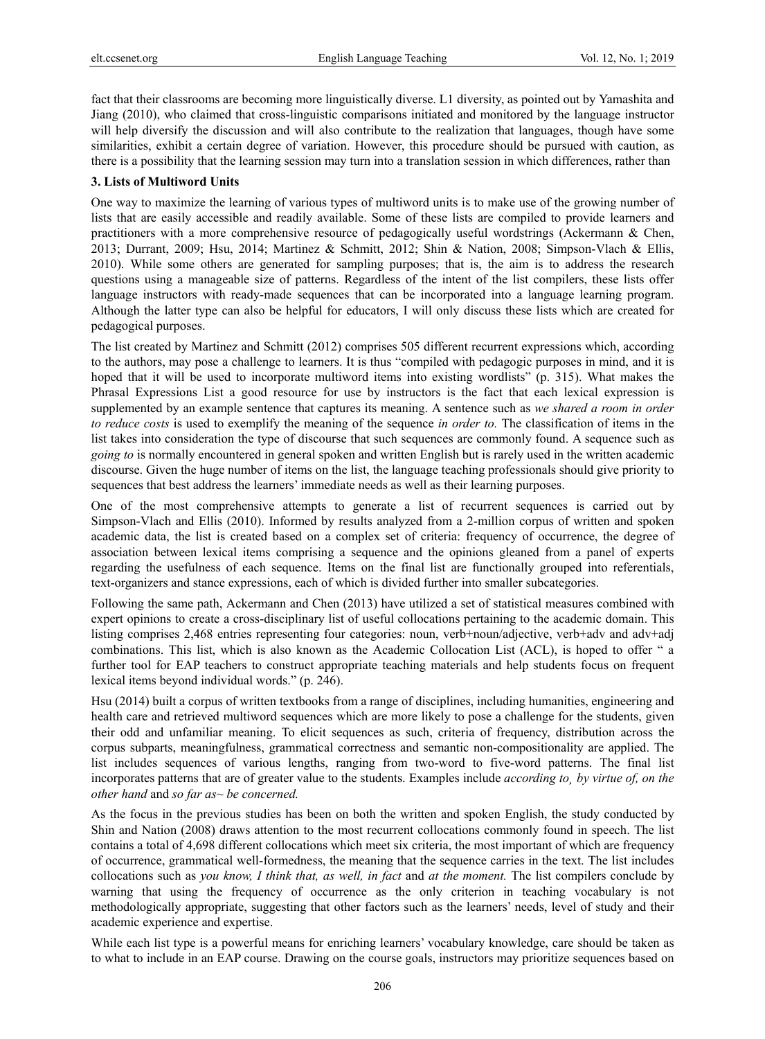fact that their classrooms are becoming more linguistically diverse. L1 diversity, as pointed out by Yamashita and Jiang (2010), who claimed that cross-linguistic comparisons initiated and monitored by the language instructor will help diversify the discussion and will also contribute to the realization that languages, though have some similarities, exhibit a certain degree of variation. However, this procedure should be pursued with caution, as there is a possibility that the learning session may turn into a translation session in which differences, rather than

## **3. Lists of Multiword Units**

One way to maximize the learning of various types of multiword units is to make use of the growing number of lists that are easily accessible and readily available. Some of these lists are compiled to provide learners and practitioners with a more comprehensive resource of pedagogically useful wordstrings (Ackermann & Chen, 2013; Durrant, 2009; Hsu, 2014; Martinez & Schmitt, 2012; Shin & Nation, 2008; Simpson-Vlach & Ellis, 2010). While some others are generated for sampling purposes; that is, the aim is to address the research questions using a manageable size of patterns. Regardless of the intent of the list compilers, these lists offer language instructors with ready-made sequences that can be incorporated into a language learning program. Although the latter type can also be helpful for educators, I will only discuss these lists which are created for pedagogical purposes.

The list created by Martinez and Schmitt (2012) comprises 505 different recurrent expressions which, according to the authors, may pose a challenge to learners. It is thus "compiled with pedagogic purposes in mind, and it is hoped that it will be used to incorporate multiword items into existing wordlists" (p. 315). What makes the Phrasal Expressions List a good resource for use by instructors is the fact that each lexical expression is supplemented by an example sentence that captures its meaning. A sentence such as *we shared a room in order to reduce costs* is used to exemplify the meaning of the sequence *in order to.* The classification of items in the list takes into consideration the type of discourse that such sequences are commonly found. A sequence such as *going to* is normally encountered in general spoken and written English but is rarely used in the written academic discourse. Given the huge number of items on the list, the language teaching professionals should give priority to sequences that best address the learners' immediate needs as well as their learning purposes.

One of the most comprehensive attempts to generate a list of recurrent sequences is carried out by Simpson-Vlach and Ellis (2010). Informed by results analyzed from a 2-million corpus of written and spoken academic data, the list is created based on a complex set of criteria: frequency of occurrence, the degree of association between lexical items comprising a sequence and the opinions gleaned from a panel of experts regarding the usefulness of each sequence. Items on the final list are functionally grouped into referentials, text-organizers and stance expressions, each of which is divided further into smaller subcategories.

Following the same path, Ackermann and Chen (2013) have utilized a set of statistical measures combined with expert opinions to create a cross-disciplinary list of useful collocations pertaining to the academic domain. This listing comprises 2,468 entries representing four categories: noun, verb+noun/adjective, verb+adv and adv+adj combinations. This list, which is also known as the Academic Collocation List (ACL), is hoped to offer " a further tool for EAP teachers to construct appropriate teaching materials and help students focus on frequent lexical items beyond individual words." (p. 246).

Hsu (2014) built a corpus of written textbooks from a range of disciplines, including humanities, engineering and health care and retrieved multiword sequences which are more likely to pose a challenge for the students, given their odd and unfamiliar meaning. To elicit sequences as such, criteria of frequency, distribution across the corpus subparts, meaningfulness, grammatical correctness and semantic non-compositionality are applied. The list includes sequences of various lengths, ranging from two-word to five-word patterns. The final list incorporates patterns that are of greater value to the students. Examples include *according to¸ by virtue of, on the other hand* and *so far as~ be concerned.* 

As the focus in the previous studies has been on both the written and spoken English, the study conducted by Shin and Nation (2008) draws attention to the most recurrent collocations commonly found in speech. The list contains a total of 4,698 different collocations which meet six criteria, the most important of which are frequency of occurrence, grammatical well-formedness, the meaning that the sequence carries in the text. The list includes collocations such as *you know, I think that, as well, in fact* and *at the moment.* The list compilers conclude by warning that using the frequency of occurrence as the only criterion in teaching vocabulary is not methodologically appropriate, suggesting that other factors such as the learners' needs, level of study and their academic experience and expertise.

While each list type is a powerful means for enriching learners' vocabulary knowledge, care should be taken as to what to include in an EAP course. Drawing on the course goals, instructors may prioritize sequences based on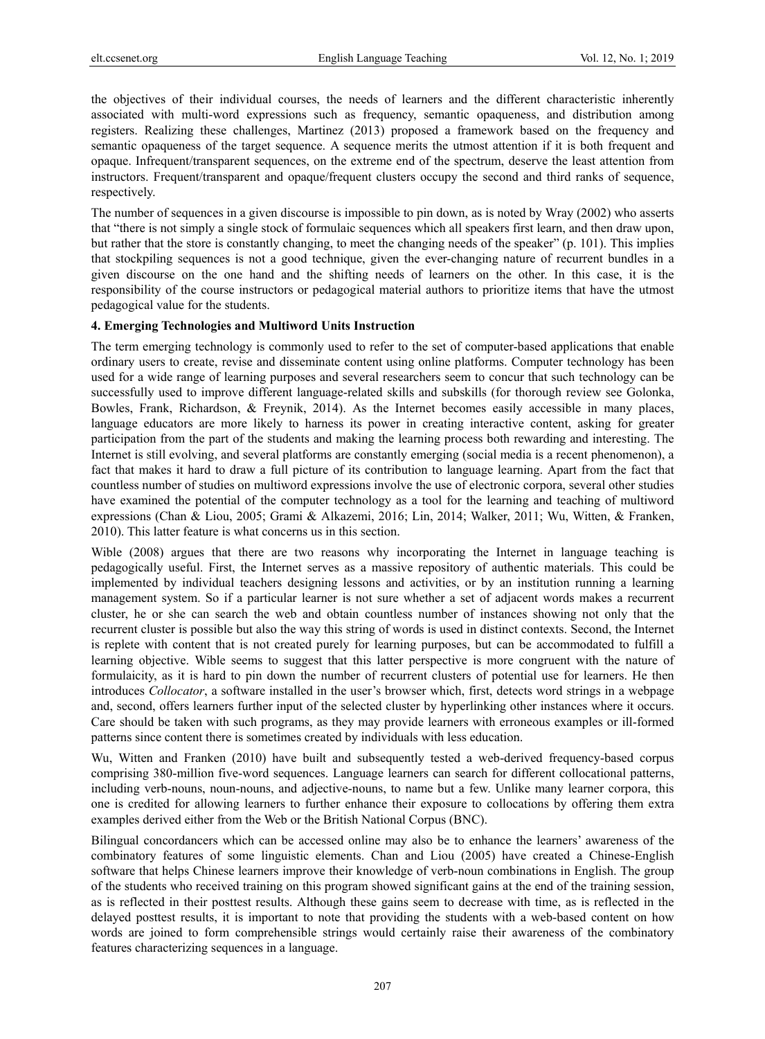the objectives of their individual courses, the needs of learners and the different characteristic inherently associated with multi-word expressions such as frequency, semantic opaqueness, and distribution among registers. Realizing these challenges, Martinez (2013) proposed a framework based on the frequency and semantic opaqueness of the target sequence. A sequence merits the utmost attention if it is both frequent and opaque. Infrequent/transparent sequences, on the extreme end of the spectrum, deserve the least attention from instructors. Frequent/transparent and opaque/frequent clusters occupy the second and third ranks of sequence, respectively.

The number of sequences in a given discourse is impossible to pin down, as is noted by Wray (2002) who asserts that "there is not simply a single stock of formulaic sequences which all speakers first learn, and then draw upon, but rather that the store is constantly changing, to meet the changing needs of the speaker" (p. 101). This implies that stockpiling sequences is not a good technique, given the ever-changing nature of recurrent bundles in a given discourse on the one hand and the shifting needs of learners on the other. In this case, it is the responsibility of the course instructors or pedagogical material authors to prioritize items that have the utmost pedagogical value for the students.

#### **4. Emerging Technologies and Multiword Units Instruction**

The term emerging technology is commonly used to refer to the set of computer-based applications that enable ordinary users to create, revise and disseminate content using online platforms. Computer technology has been used for a wide range of learning purposes and several researchers seem to concur that such technology can be successfully used to improve different language-related skills and subskills (for thorough review see Golonka, Bowles, Frank, Richardson, & Freynik, 2014). As the Internet becomes easily accessible in many places, language educators are more likely to harness its power in creating interactive content, asking for greater participation from the part of the students and making the learning process both rewarding and interesting. The Internet is still evolving, and several platforms are constantly emerging (social media is a recent phenomenon), a fact that makes it hard to draw a full picture of its contribution to language learning. Apart from the fact that countless number of studies on multiword expressions involve the use of electronic corpora, several other studies have examined the potential of the computer technology as a tool for the learning and teaching of multiword expressions (Chan & Liou, 2005; Grami & Alkazemi, 2016; Lin, 2014; Walker, 2011; Wu, Witten, & Franken, 2010). This latter feature is what concerns us in this section.

Wible (2008) argues that there are two reasons why incorporating the Internet in language teaching is pedagogically useful. First, the Internet serves as a massive repository of authentic materials. This could be implemented by individual teachers designing lessons and activities, or by an institution running a learning management system. So if a particular learner is not sure whether a set of adjacent words makes a recurrent cluster, he or she can search the web and obtain countless number of instances showing not only that the recurrent cluster is possible but also the way this string of words is used in distinct contexts. Second, the Internet is replete with content that is not created purely for learning purposes, but can be accommodated to fulfill a learning objective. Wible seems to suggest that this latter perspective is more congruent with the nature of formulaicity, as it is hard to pin down the number of recurrent clusters of potential use for learners. He then introduces *Collocator*, a software installed in the user's browser which, first, detects word strings in a webpage and, second, offers learners further input of the selected cluster by hyperlinking other instances where it occurs. Care should be taken with such programs, as they may provide learners with erroneous examples or ill-formed patterns since content there is sometimes created by individuals with less education.

Wu, Witten and Franken (2010) have built and subsequently tested a web-derived frequency-based corpus comprising 380-million five-word sequences. Language learners can search for different collocational patterns, including verb-nouns, noun-nouns, and adjective-nouns, to name but a few. Unlike many learner corpora, this one is credited for allowing learners to further enhance their exposure to collocations by offering them extra examples derived either from the Web or the British National Corpus (BNC).

Bilingual concordancers which can be accessed online may also be to enhance the learners' awareness of the combinatory features of some linguistic elements. Chan and Liou (2005) have created a Chinese-English software that helps Chinese learners improve their knowledge of verb-noun combinations in English. The group of the students who received training on this program showed significant gains at the end of the training session, as is reflected in their posttest results. Although these gains seem to decrease with time, as is reflected in the delayed posttest results, it is important to note that providing the students with a web-based content on how words are joined to form comprehensible strings would certainly raise their awareness of the combinatory features characterizing sequences in a language.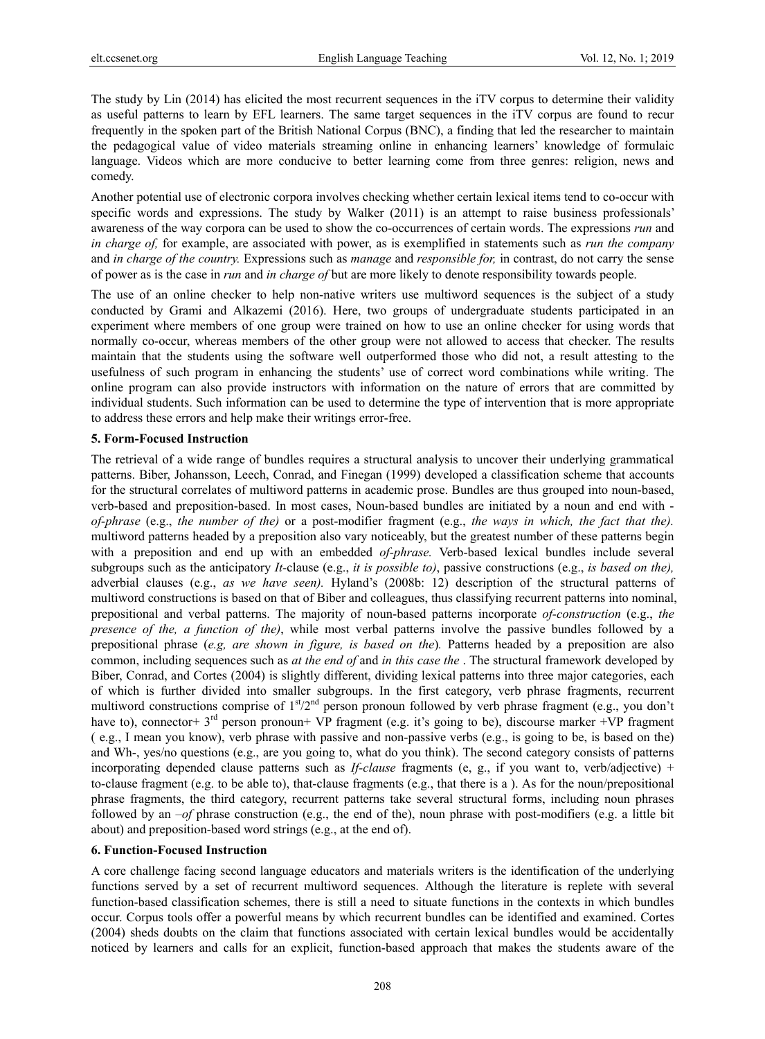The study by Lin (2014) has elicited the most recurrent sequences in the iTV corpus to determine their validity as useful patterns to learn by EFL learners. The same target sequences in the iTV corpus are found to recur frequently in the spoken part of the British National Corpus (BNC), a finding that led the researcher to maintain the pedagogical value of video materials streaming online in enhancing learners' knowledge of formulaic language. Videos which are more conducive to better learning come from three genres: religion, news and comedy.

Another potential use of electronic corpora involves checking whether certain lexical items tend to co-occur with specific words and expressions. The study by Walker (2011) is an attempt to raise business professionals' awareness of the way corpora can be used to show the co-occurrences of certain words. The expressions *run* and *in charge of,* for example, are associated with power, as is exemplified in statements such as *run the company*  and *in charge of the country.* Expressions such as *manage* and *responsible for,* in contrast, do not carry the sense of power as is the case in *run* and *in charge of* but are more likely to denote responsibility towards people.

The use of an online checker to help non-native writers use multiword sequences is the subject of a study conducted by Grami and Alkazemi (2016). Here, two groups of undergraduate students participated in an experiment where members of one group were trained on how to use an online checker for using words that normally co-occur, whereas members of the other group were not allowed to access that checker. The results maintain that the students using the software well outperformed those who did not, a result attesting to the usefulness of such program in enhancing the students' use of correct word combinations while writing. The online program can also provide instructors with information on the nature of errors that are committed by individual students. Such information can be used to determine the type of intervention that is more appropriate to address these errors and help make their writings error-free.

### **5. Form-Focused Instruction**

The retrieval of a wide range of bundles requires a structural analysis to uncover their underlying grammatical patterns. Biber, Johansson, Leech, Conrad, and Finegan (1999) developed a classification scheme that accounts for the structural correlates of multiword patterns in academic prose. Bundles are thus grouped into noun-based, verb-based and preposition-based. In most cases, Noun-based bundles are initiated by a noun and end with *of-phrase* (e.g., *the number of the)* or a post-modifier fragment (e.g., *the ways in which, the fact that the).*  multiword patterns headed by a preposition also vary noticeably, but the greatest number of these patterns begin with a preposition and end up with an embedded *of-phrase.* Verb-based lexical bundles include several subgroups such as the anticipatory *It-*clause (e.g., *it is possible to)*, passive constructions (e.g., *is based on the),*  adverbial clauses (e.g., *as we have seen).* Hyland's (2008b: 12) description of the structural patterns of multiword constructions is based on that of Biber and colleagues, thus classifying recurrent patterns into nominal, prepositional and verbal patterns. The majority of noun-based patterns incorporate *of-construction* (e.g., *the presence of the, a function of the)*, while most verbal patterns involve the passive bundles followed by a prepositional phrase (*e.g, are shown in figure, is based on the*)*.* Patterns headed by a preposition are also common, including sequences such as *at the end of* and *in this case the* . The structural framework developed by Biber, Conrad, and Cortes (2004) is slightly different, dividing lexical patterns into three major categories, each of which is further divided into smaller subgroups. In the first category, verb phrase fragments, recurrent multiword constructions comprise of  $1<sup>st</sup>/2<sup>nd</sup>$  person pronoun followed by verb phrase fragment (e.g., you don't have to), connector+  $3<sup>rd</sup>$  person pronoun+ VP fragment (e.g. it's going to be), discourse marker +VP fragment ( e.g., I mean you know), verb phrase with passive and non-passive verbs (e.g., is going to be, is based on the) and Wh-, yes/no questions (e.g., are you going to, what do you think). The second category consists of patterns incorporating depended clause patterns such as *If-clause* fragments (e, g., if you want to, verb/adjective) + to-clause fragment (e.g. to be able to), that-clause fragments (e.g., that there is a ). As for the noun/prepositional phrase fragments, the third category, recurrent patterns take several structural forms, including noun phrases followed by an *–of* phrase construction (e.g., the end of the), noun phrase with post-modifiers (e.g. a little bit about) and preposition-based word strings (e.g., at the end of).

#### **6. Function-Focused Instruction**

A core challenge facing second language educators and materials writers is the identification of the underlying functions served by a set of recurrent multiword sequences. Although the literature is replete with several function-based classification schemes, there is still a need to situate functions in the contexts in which bundles occur. Corpus tools offer a powerful means by which recurrent bundles can be identified and examined. Cortes (2004) sheds doubts on the claim that functions associated with certain lexical bundles would be accidentally noticed by learners and calls for an explicit, function-based approach that makes the students aware of the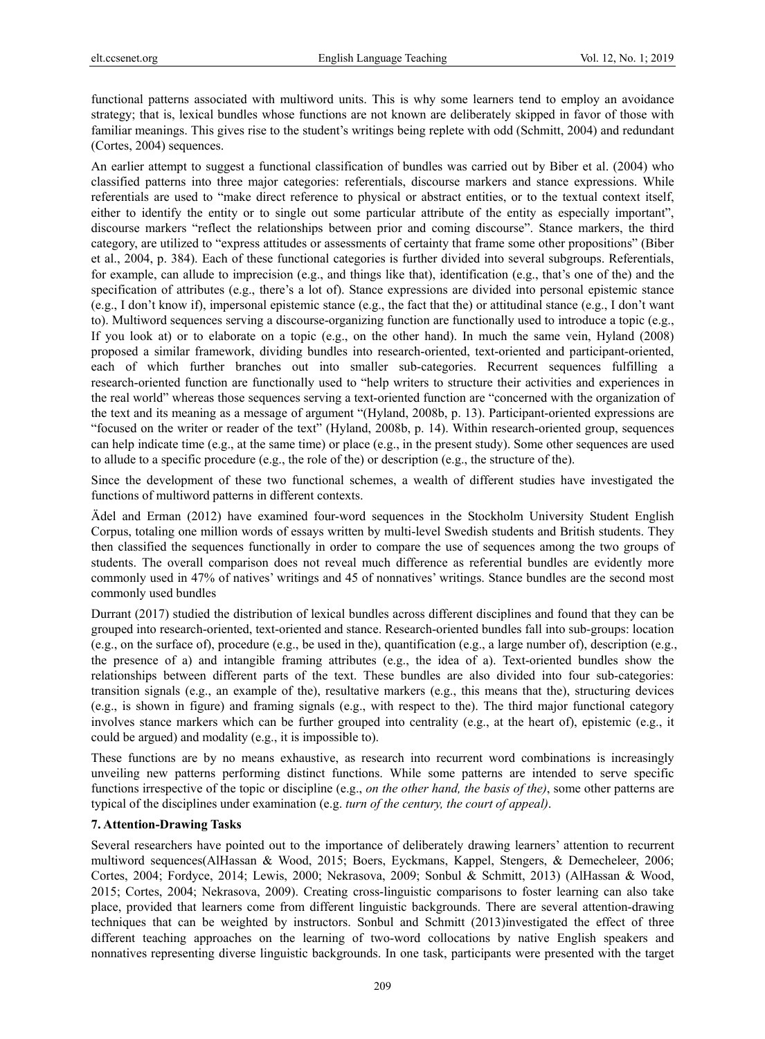functional patterns associated with multiword units. This is why some learners tend to employ an avoidance strategy; that is, lexical bundles whose functions are not known are deliberately skipped in favor of those with familiar meanings. This gives rise to the student's writings being replete with odd (Schmitt, 2004) and redundant (Cortes, 2004) sequences.

An earlier attempt to suggest a functional classification of bundles was carried out by Biber et al. (2004) who classified patterns into three major categories: referentials, discourse markers and stance expressions. While referentials are used to "make direct reference to physical or abstract entities, or to the textual context itself, either to identify the entity or to single out some particular attribute of the entity as especially important", discourse markers "reflect the relationships between prior and coming discourse". Stance markers, the third category, are utilized to "express attitudes or assessments of certainty that frame some other propositions" (Biber et al., 2004, p. 384). Each of these functional categories is further divided into several subgroups. Referentials, for example, can allude to imprecision (e.g., and things like that), identification (e.g., that's one of the) and the specification of attributes (e.g., there's a lot of). Stance expressions are divided into personal epistemic stance (e.g., I don't know if), impersonal epistemic stance (e.g., the fact that the) or attitudinal stance (e.g., I don't want to). Multiword sequences serving a discourse-organizing function are functionally used to introduce a topic (e.g., If you look at) or to elaborate on a topic (e.g., on the other hand). In much the same vein, Hyland (2008) proposed a similar framework, dividing bundles into research-oriented, text-oriented and participant-oriented, each of which further branches out into smaller sub-categories. Recurrent sequences fulfilling a research-oriented function are functionally used to "help writers to structure their activities and experiences in the real world" whereas those sequences serving a text-oriented function are "concerned with the organization of the text and its meaning as a message of argument "(Hyland, 2008b, p. 13). Participant-oriented expressions are "focused on the writer or reader of the text" (Hyland, 2008b, p. 14). Within research-oriented group, sequences can help indicate time (e.g., at the same time) or place (e.g., in the present study). Some other sequences are used to allude to a specific procedure (e.g., the role of the) or description (e.g., the structure of the).

Since the development of these two functional schemes, a wealth of different studies have investigated the functions of multiword patterns in different contexts.

Ädel and Erman (2012) have examined four-word sequences in the Stockholm University Student English Corpus, totaling one million words of essays written by multi-level Swedish students and British students. They then classified the sequences functionally in order to compare the use of sequences among the two groups of students. The overall comparison does not reveal much difference as referential bundles are evidently more commonly used in 47% of natives' writings and 45 of nonnatives' writings. Stance bundles are the second most commonly used bundles

Durrant (2017) studied the distribution of lexical bundles across different disciplines and found that they can be grouped into research-oriented, text-oriented and stance. Research-oriented bundles fall into sub-groups: location (e.g., on the surface of), procedure (e.g., be used in the), quantification (e.g., a large number of), description (e.g., the presence of a) and intangible framing attributes (e.g., the idea of a). Text-oriented bundles show the relationships between different parts of the text. These bundles are also divided into four sub-categories: transition signals (e.g., an example of the), resultative markers (e.g., this means that the), structuring devices (e.g., is shown in figure) and framing signals (e.g., with respect to the). The third major functional category involves stance markers which can be further grouped into centrality (e.g., at the heart of), epistemic (e.g., it could be argued) and modality (e.g., it is impossible to).

These functions are by no means exhaustive, as research into recurrent word combinations is increasingly unveiling new patterns performing distinct functions. While some patterns are intended to serve specific functions irrespective of the topic or discipline (e.g., *on the other hand, the basis of the)*, some other patterns are typical of the disciplines under examination (e.g. *turn of the century, the court of appeal)*.

# **7. Attention-Drawing Tasks**

Several researchers have pointed out to the importance of deliberately drawing learners' attention to recurrent multiword sequences(AlHassan & Wood, 2015; Boers, Eyckmans, Kappel, Stengers, & Demecheleer, 2006; Cortes, 2004; Fordyce, 2014; Lewis, 2000; Nekrasova, 2009; Sonbul & Schmitt, 2013) (AlHassan & Wood, 2015; Cortes, 2004; Nekrasova, 2009). Creating cross-linguistic comparisons to foster learning can also take place, provided that learners come from different linguistic backgrounds. There are several attention-drawing techniques that can be weighted by instructors. Sonbul and Schmitt (2013)investigated the effect of three different teaching approaches on the learning of two-word collocations by native English speakers and nonnatives representing diverse linguistic backgrounds. In one task, participants were presented with the target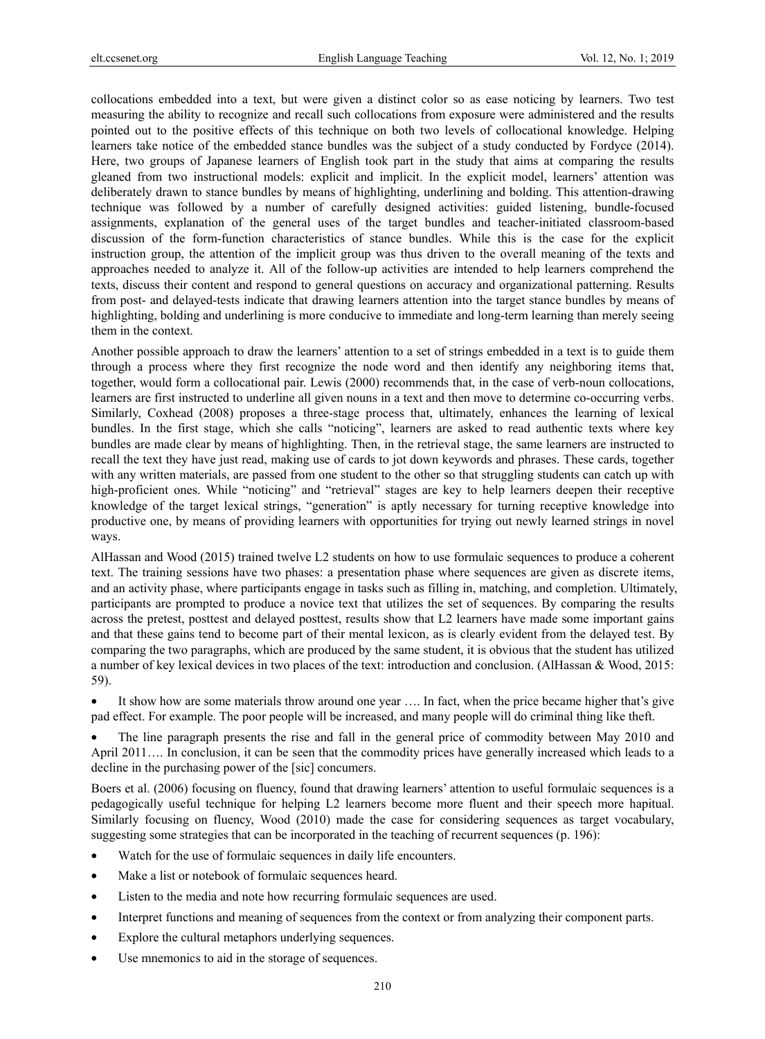collocations embedded into a text, but were given a distinct color so as ease noticing by learners. Two test measuring the ability to recognize and recall such collocations from exposure were administered and the results pointed out to the positive effects of this technique on both two levels of collocational knowledge. Helping learners take notice of the embedded stance bundles was the subject of a study conducted by Fordyce (2014). Here, two groups of Japanese learners of English took part in the study that aims at comparing the results gleaned from two instructional models: explicit and implicit. In the explicit model, learners' attention was deliberately drawn to stance bundles by means of highlighting, underlining and bolding. This attention-drawing technique was followed by a number of carefully designed activities: guided listening, bundle-focused assignments, explanation of the general uses of the target bundles and teacher-initiated classroom-based discussion of the form-function characteristics of stance bundles. While this is the case for the explicit instruction group, the attention of the implicit group was thus driven to the overall meaning of the texts and approaches needed to analyze it. All of the follow-up activities are intended to help learners comprehend the texts, discuss their content and respond to general questions on accuracy and organizational patterning. Results from post- and delayed-tests indicate that drawing learners attention into the target stance bundles by means of highlighting, bolding and underlining is more conducive to immediate and long-term learning than merely seeing them in the context.

Another possible approach to draw the learners' attention to a set of strings embedded in a text is to guide them through a process where they first recognize the node word and then identify any neighboring items that, together, would form a collocational pair. Lewis (2000) recommends that, in the case of verb-noun collocations, learners are first instructed to underline all given nouns in a text and then move to determine co-occurring verbs. Similarly, Coxhead (2008) proposes a three-stage process that, ultimately, enhances the learning of lexical bundles. In the first stage, which she calls "noticing", learners are asked to read authentic texts where key bundles are made clear by means of highlighting. Then, in the retrieval stage, the same learners are instructed to recall the text they have just read, making use of cards to jot down keywords and phrases. These cards, together with any written materials, are passed from one student to the other so that struggling students can catch up with high-proficient ones. While "noticing" and "retrieval" stages are key to help learners deepen their receptive knowledge of the target lexical strings, "generation" is aptly necessary for turning receptive knowledge into productive one, by means of providing learners with opportunities for trying out newly learned strings in novel ways.

AlHassan and Wood (2015) trained twelve L2 students on how to use formulaic sequences to produce a coherent text. The training sessions have two phases: a presentation phase where sequences are given as discrete items, and an activity phase, where participants engage in tasks such as filling in, matching, and completion. Ultimately, participants are prompted to produce a novice text that utilizes the set of sequences. By comparing the results across the pretest, posttest and delayed posttest, results show that L2 learners have made some important gains and that these gains tend to become part of their mental lexicon, as is clearly evident from the delayed test. By comparing the two paragraphs, which are produced by the same student, it is obvious that the student has utilized a number of key lexical devices in two places of the text: introduction and conclusion. (AlHassan & Wood, 2015: 59).

It show how are some materials throw around one year .... In fact, when the price became higher that's give pad effect. For example. The poor people will be increased, and many people will do criminal thing like theft.

• The line paragraph presents the rise and fall in the general price of commodity between May 2010 and April 2011…. In conclusion, it can be seen that the commodity prices have generally increased which leads to a decline in the purchasing power of the [sic] concumers.

Boers et al. (2006) focusing on fluency, found that drawing learners' attention to useful formulaic sequences is a pedagogically useful technique for helping L2 learners become more fluent and their speech more hapitual. Similarly focusing on fluency, Wood (2010) made the case for considering sequences as target vocabulary, suggesting some strategies that can be incorporated in the teaching of recurrent sequences (p. 196):

- Watch for the use of formulaic sequences in daily life encounters.
- Make a list or notebook of formulaic sequences heard.
- Listen to the media and note how recurring formulaic sequences are used.
- Interpret functions and meaning of sequences from the context or from analyzing their component parts.
- Explore the cultural metaphors underlying sequences.
- Use mnemonics to aid in the storage of sequences.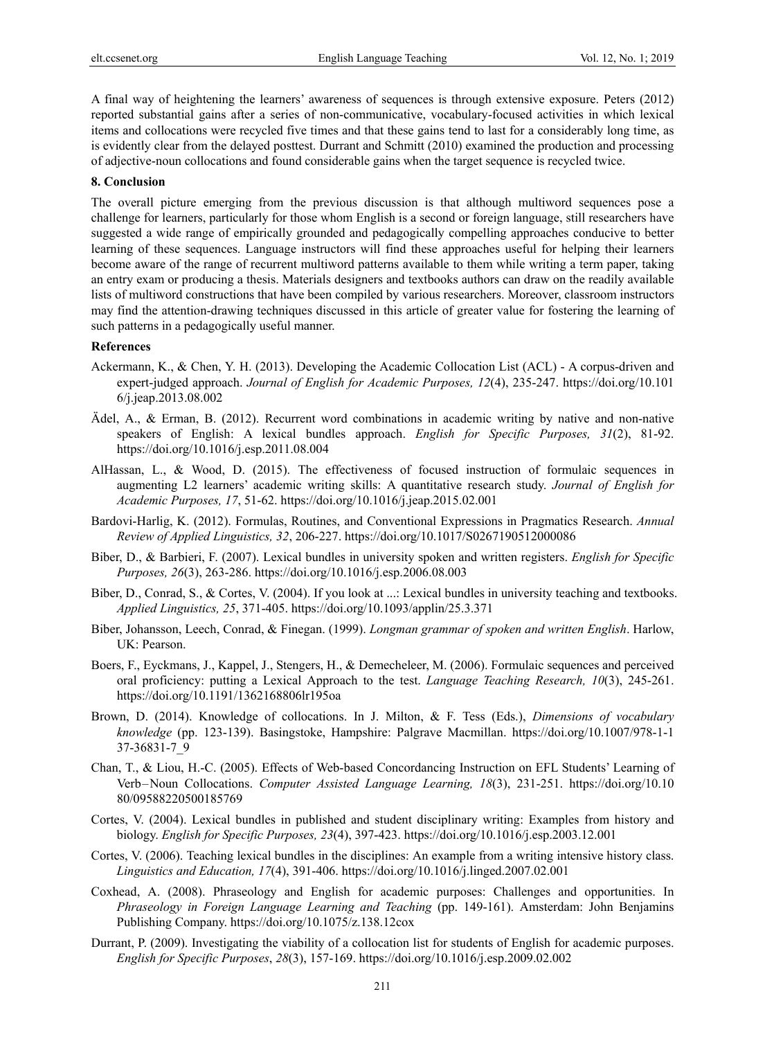A final way of heightening the learners' awareness of sequences is through extensive exposure. Peters (2012) reported substantial gains after a series of non-communicative, vocabulary-focused activities in which lexical items and collocations were recycled five times and that these gains tend to last for a considerably long time, as is evidently clear from the delayed posttest. Durrant and Schmitt (2010) examined the production and processing of adjective-noun collocations and found considerable gains when the target sequence is recycled twice.

#### **8. Conclusion**

The overall picture emerging from the previous discussion is that although multiword sequences pose a challenge for learners, particularly for those whom English is a second or foreign language, still researchers have suggested a wide range of empirically grounded and pedagogically compelling approaches conducive to better learning of these sequences. Language instructors will find these approaches useful for helping their learners become aware of the range of recurrent multiword patterns available to them while writing a term paper, taking an entry exam or producing a thesis. Materials designers and textbooks authors can draw on the readily available lists of multiword constructions that have been compiled by various researchers. Moreover, classroom instructors may find the attention-drawing techniques discussed in this article of greater value for fostering the learning of such patterns in a pedagogically useful manner.

## **References**

- Ackermann, K., & Chen, Y. H. (2013). Developing the Academic Collocation List (ACL) A corpus-driven and expert-judged approach. *Journal of English for Academic Purposes, 12*(4), 235-247. https://doi.org/10.101 6/j.jeap.2013.08.002
- Ädel, A., & Erman, B. (2012). Recurrent word combinations in academic writing by native and non-native speakers of English: A lexical bundles approach. *English for Specific Purposes, 31*(2), 81-92. https://doi.org/10.1016/j.esp.2011.08.004
- AlHassan, L., & Wood, D. (2015). The effectiveness of focused instruction of formulaic sequences in augmenting L2 learners' academic writing skills: A quantitative research study. *Journal of English for Academic Purposes, 17*, 51-62. https://doi.org/10.1016/j.jeap.2015.02.001
- Bardovi-Harlig, K. (2012). Formulas, Routines, and Conventional Expressions in Pragmatics Research. *Annual Review of Applied Linguistics, 32*, 206-227. https://doi.org/10.1017/S0267190512000086
- Biber, D., & Barbieri, F. (2007). Lexical bundles in university spoken and written registers. *English for Specific Purposes, 26*(3), 263-286. https://doi.org/10.1016/j.esp.2006.08.003
- Biber, D., Conrad, S., & Cortes, V. (2004). If you look at ...: Lexical bundles in university teaching and textbooks. *Applied Linguistics, 25*, 371-405. https://doi.org/10.1093/applin/25.3.371
- Biber, Johansson, Leech, Conrad, & Finegan. (1999). *Longman grammar of spoken and written English*. Harlow, UK: Pearson.
- Boers, F., Eyckmans, J., Kappel, J., Stengers, H., & Demecheleer, M. (2006). Formulaic sequences and perceived oral proficiency: putting a Lexical Approach to the test. *Language Teaching Research, 10*(3), 245-261. https://doi.org/10.1191/1362168806lr195oa
- Brown, D. (2014). Knowledge of collocations. In J. Milton, & F. Tess (Eds.), *Dimensions of vocabulary knowledge* (pp. 123-139). Basingstoke, Hampshire: Palgrave Macmillan. https://doi.org/10.1007/978-1-1 37-36831-7\_9
- Chan, T., & Liou, H.-C. (2005). Effects of Web-based Concordancing Instruction on EFL Students' Learning of Verb – Noun Collocations. *Computer Assisted Language Learning, 18*(3), 231-251. https://doi.org/10.10 80/09588220500185769
- Cortes, V. (2004). Lexical bundles in published and student disciplinary writing: Examples from history and biology. *English for Specific Purposes, 23*(4), 397-423. https://doi.org/10.1016/j.esp.2003.12.001
- Cortes, V. (2006). Teaching lexical bundles in the disciplines: An example from a writing intensive history class. *Linguistics and Education, 17*(4), 391-406. https://doi.org/10.1016/j.linged.2007.02.001
- Coxhead, A. (2008). Phraseology and English for academic purposes: Challenges and opportunities. In *Phraseology in Foreign Language Learning and Teaching* (pp. 149-161). Amsterdam: John Benjamins Publishing Company. https://doi.org/10.1075/z.138.12cox
- Durrant, P. (2009). Investigating the viability of a collocation list for students of English for academic purposes. *English for Specific Purposes*, *28*(3), 157-169. https://doi.org/10.1016/j.esp.2009.02.002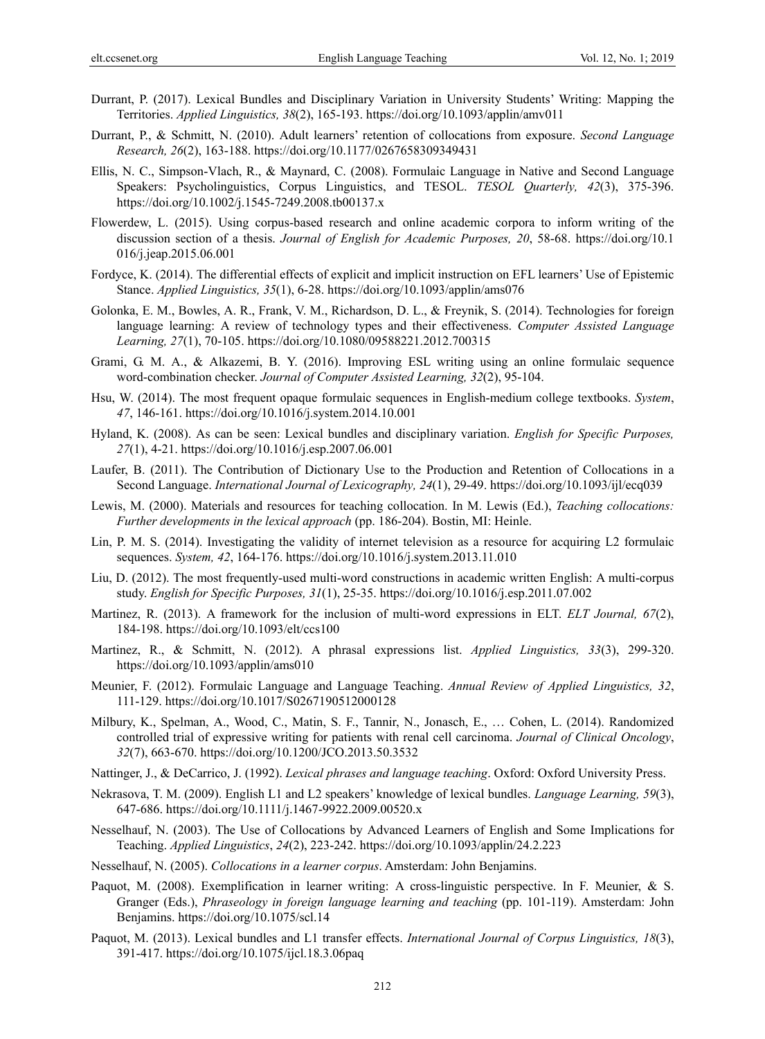- Durrant, P. (2017). Lexical Bundles and Disciplinary Variation in University Students' Writing: Mapping the Territories. *Applied Linguistics, 38*(2), 165-193. https://doi.org/10.1093/applin/amv011
- Durrant, P., & Schmitt, N. (2010). Adult learners' retention of collocations from exposure. *Second Language Research, 26*(2), 163-188. https://doi.org/10.1177/0267658309349431
- Ellis, N. C., Simpson-Vlach, R., & Maynard, C. (2008). Formulaic Language in Native and Second Language Speakers: Psycholinguistics, Corpus Linguistics, and TESOL. *TESOL Quarterly, 42*(3), 375-396. https://doi.org/10.1002/j.1545-7249.2008.tb00137.x
- Flowerdew, L. (2015). Using corpus-based research and online academic corpora to inform writing of the discussion section of a thesis. *Journal of English for Academic Purposes, 20*, 58-68. https://doi.org/10.1 016/j.jeap.2015.06.001
- Fordyce, K. (2014). The differential effects of explicit and implicit instruction on EFL learners' Use of Epistemic Stance. *Applied Linguistics, 35*(1), 6-28. https://doi.org/10.1093/applin/ams076
- Golonka, E. M., Bowles, A. R., Frank, V. M., Richardson, D. L., & Freynik, S. (2014). Technologies for foreign language learning: A review of technology types and their effectiveness. *Computer Assisted Language Learning, 27*(1), 70-105. https://doi.org/10.1080/09588221.2012.700315
- Grami, G. M. A., & Alkazemi, B. Y. (2016). Improving ESL writing using an online formulaic sequence word-combination checker. *Journal of Computer Assisted Learning, 32*(2), 95-104.
- Hsu, W. (2014). The most frequent opaque formulaic sequences in English-medium college textbooks. *System*, *47*, 146-161. https://doi.org/10.1016/j.system.2014.10.001
- Hyland, K. (2008). As can be seen: Lexical bundles and disciplinary variation. *English for Specific Purposes, 27*(1), 4-21. https://doi.org/10.1016/j.esp.2007.06.001
- Laufer, B. (2011). The Contribution of Dictionary Use to the Production and Retention of Collocations in a Second Language. *International Journal of Lexicography, 24*(1), 29-49. https://doi.org/10.1093/ijl/ecq039
- Lewis, M. (2000). Materials and resources for teaching collocation. In M. Lewis (Ed.), *Teaching collocations: Further developments in the lexical approach* (pp. 186-204). Bostin, MI: Heinle.
- Lin, P. M. S. (2014). Investigating the validity of internet television as a resource for acquiring L2 formulaic sequences. *System, 42*, 164-176. https://doi.org/10.1016/j.system.2013.11.010
- Liu, D. (2012). The most frequently-used multi-word constructions in academic written English: A multi-corpus study. *English for Specific Purposes, 31*(1), 25-35. https://doi.org/10.1016/j.esp.2011.07.002
- Martinez, R. (2013). A framework for the inclusion of multi-word expressions in ELT. *ELT Journal, 67*(2), 184-198. https://doi.org/10.1093/elt/ccs100
- Martinez, R., & Schmitt, N. (2012). A phrasal expressions list. *Applied Linguistics, 33*(3), 299-320. https://doi.org/10.1093/applin/ams010
- Meunier, F. (2012). Formulaic Language and Language Teaching. *Annual Review of Applied Linguistics, 32*, 111-129. https://doi.org/10.1017/S0267190512000128
- Milbury, K., Spelman, A., Wood, C., Matin, S. F., Tannir, N., Jonasch, E., … Cohen, L. (2014). Randomized controlled trial of expressive writing for patients with renal cell carcinoma. *Journal of Clinical Oncology*, *32*(7), 663-670. https://doi.org/10.1200/JCO.2013.50.3532
- Nattinger, J., & DeCarrico, J. (1992). *Lexical phrases and language teaching*. Oxford: Oxford University Press.
- Nekrasova, T. M. (2009). English L1 and L2 speakers' knowledge of lexical bundles. *Language Learning, 59*(3), 647-686. https://doi.org/10.1111/j.1467-9922.2009.00520.x
- Nesselhauf, N. (2003). The Use of Collocations by Advanced Learners of English and Some Implications for Teaching. *Applied Linguistics*, *24*(2), 223-242. https://doi.org/10.1093/applin/24.2.223
- Nesselhauf, N. (2005). *Collocations in a learner corpus*. Amsterdam: John Benjamins.
- Paquot, M. (2008). Exemplification in learner writing: A cross-linguistic perspective. In F. Meunier, & S. Granger (Eds.), *Phraseology in foreign language learning and teaching* (pp. 101-119). Amsterdam: John Benjamins. https://doi.org/10.1075/scl.14
- Paquot, M. (2013). Lexical bundles and L1 transfer effects. *International Journal of Corpus Linguistics, 18*(3), 391-417. https://doi.org/10.1075/ijcl.18.3.06paq